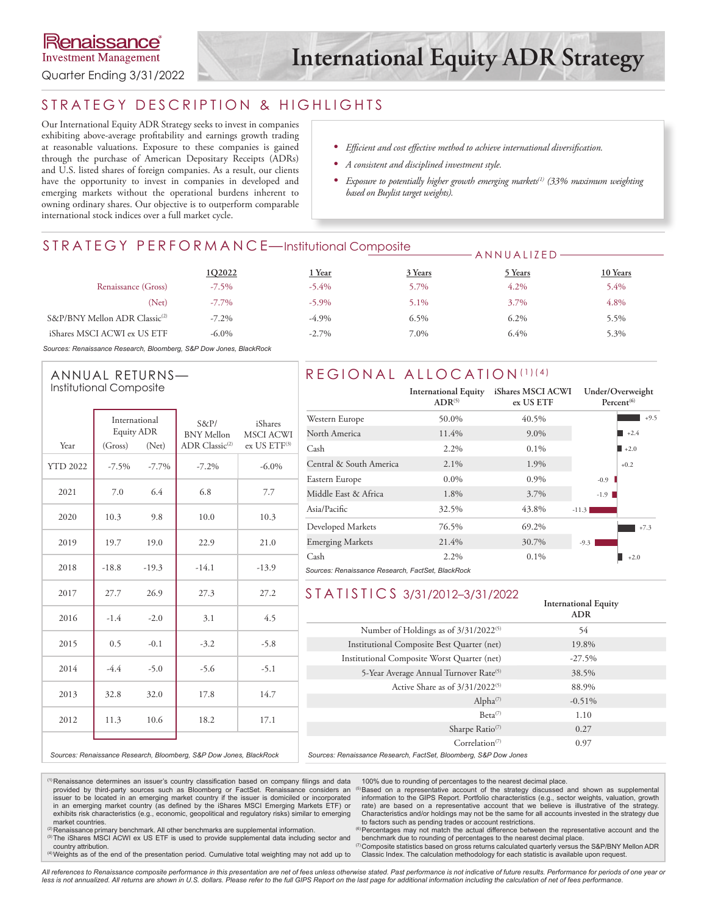**Investment Management** 

Quarter Ending 3/31/2022

# STRATEGY DESCRIPTION & HIGHLIGHTS

Our International Equity ADR Strategy seeks to invest in companies exhibiting above-average profitability and earnings growth trading at reasonable valuations. Exposure to these companies is gained through the purchase of American Depositary Receipts (ADRs) and U.S. listed shares of foreign companies. As a result, our clients have the opportunity to invest in companies in developed and emerging markets without the operational burdens inherent to owning ordinary shares. Our objective is to outperform comparable international stock indices over a full market cycle.

- *• Efficient and cost effective method to achieve international diversification.*
- *• A consistent and disciplined investment style.*
- *• Exposure to potentially higher growth emerging markets(1) (33% maximum weighting based on Buylist target weights).*

ANNUALIZED

## STRATEGY PERFORMANCE—Institutional Composite

|                                           | 1Q2022   | <u>Near</u> | 3 Years | 5 Years | 10 Years |
|-------------------------------------------|----------|-------------|---------|---------|----------|
| Renaissance (Gross)                       | $-7.5\%$ | $-5.4\%$    | 5.7%    | $4.2\%$ | 5.4%     |
| (Net)                                     | $-7.7\%$ | $-5.9\%$    | 5.1%    | 3.7%    | 4.8%     |
| S&P/BNY Mellon ADR Classic <sup>(2)</sup> | $-7.2\%$ | $-4.9\%$    | $6.5\%$ | $6.2\%$ | 5.5%     |
| iShares MSCI ACWI ex US ETF               | $-6.0\%$ | $-2.7\%$    | 7.0%    | 6.4%    | 5.3%     |

*Sources: Renaissance Research, Bloomberg, S&P Dow Jones, BlackRock*

#### ANNUAL RETURNS— Institutional Composite

|                 | International<br>Equity ADR |         | S&P/<br><b>BNY Mellon</b>  | iShares<br><b>MSCI ACWI</b> |  |
|-----------------|-----------------------------|---------|----------------------------|-----------------------------|--|
| Year            | (Gross)                     | (Net)   | ADR Classic <sup>(2)</sup> | $ex$ US $ETF^{(3)}$         |  |
| <b>YTD 2022</b> | $-7.5\%$                    | $-7.7%$ | $-7.2\%$                   | $-6.0\%$                    |  |
| 2021            | 7.0                         | 6.4     | 6.8                        | 7.7                         |  |
| 2020            | 10.3                        | 9.8     | 10.0                       | 10.3                        |  |
| 2019            | 19.7                        | 19.0    | 22.9                       | 21.0                        |  |
| 2018            | $-18.8$                     | $-19.3$ | $-14.1$                    | $-13.9$                     |  |
| 2017            | 27.7                        | 26.9    | 27.3                       | 27.2                        |  |
| 2016            | $-1.4$                      | $-2.0$  | 3.1                        | 4.5                         |  |
| 2015            | 0.5                         | $-0.1$  | $-3.2$                     | $-5.8$                      |  |
| 2014            | $-4.4$                      | $-5.0$  | $-5.6$                     | $-5.1$                      |  |
| 2013            | 32.8                        | 32.0    | 17.8                       | 14.7                        |  |
| 2012            | 10.6<br>11.3                |         | 18.2                       | 17.1                        |  |
|                 |                             |         |                            |                             |  |

## REGIONAL ALLOCATION (1)(4)

|                                                   | <b>International Equity</b><br>$ADR^{(5)}$ | iShares MSCI ACWI<br>ex US ETF | Under/Overweight<br>Percent <sup>(6)</sup> |  |  |
|---------------------------------------------------|--------------------------------------------|--------------------------------|--------------------------------------------|--|--|
| Western Europe                                    | 50.0%                                      | 40.5%                          | $+9.5$                                     |  |  |
| North America                                     | 11.4%                                      | $9.0\%$                        | $+2.4$                                     |  |  |
| Cash                                              | 2.2%                                       | $0.1\%$                        | $+2.0$                                     |  |  |
| Central & South America                           | $2.1\%$                                    | 1.9%                           | $+0.2$                                     |  |  |
| Eastern Europe                                    | $0.0\%$                                    | 0.9%                           | $-0.9$                                     |  |  |
| Middle East & Africa                              | 1.8%                                       | 3.7%                           | $-1.9$                                     |  |  |
| Asia/Pacific                                      | 32.5%                                      | 43.8%                          | $-11.3$                                    |  |  |
| Developed Markets                                 | 76.5%                                      | 69.2%                          | $+7.3$                                     |  |  |
| <b>Emerging Markets</b>                           | 21.4%                                      | 30.7%                          | $-9.3$                                     |  |  |
| Cash                                              | 2.2%                                       | $0.1\%$                        | $+2.0$                                     |  |  |
| Sources: Renaissance Research, FactSet, BlackRock |                                            |                                |                                            |  |  |

## STATISTICS 3/31/2012–3/31/2022

|                                                                  | <b>International Equity</b><br><b>ADR</b> |  |
|------------------------------------------------------------------|-------------------------------------------|--|
| Number of Holdings as of 3/31/2022 <sup>(5)</sup>                | 54                                        |  |
| Institutional Composite Best Quarter (net)                       | 19.8%                                     |  |
| Institutional Composite Worst Quarter (net)                      | $-27.5%$                                  |  |
| 5-Year Average Annual Turnover Rate <sup>(5)</sup>               | 38.5%                                     |  |
| Active Share as of $3/31/2022^{(5)}$                             | 88.9%                                     |  |
| Alpha <sup>(7)</sup>                                             | $-0.51%$                                  |  |
| $Beta^{(7)}$                                                     | 1.10                                      |  |
| Sharpe Ratio <sup>(7)</sup>                                      | 0.27                                      |  |
| $Correlation$ <sup>(7)</sup>                                     | 0.97                                      |  |
| Sources: Renaissance Research, FactSet, Bloomberg, S&P Dow Jones |                                           |  |

*Sources: Renaissance Research, Bloomberg, S&P Dow Jones, BlackRock*

100% due to rounding of percentages to the nearest decimal place.<br><sup>(5)</sup>Based on a representative account of the strategy discussed and shown as supplemental information to the GIPS Report. Portfolio characteristics (e.g., sector weights, valuation, growth rate) are based on a representative account that we believe is illustrative of the strategy. Characteristics and/or holdings may not be the same for all accounts invested in the strategy due to factors such as pending trades or account restrictions.

market countries. <sup>(2)</sup>Renaissance primary benchmark. All other benchmarks are supplemental information.<br><sup>(3)</sup>The iShares MSCI ACWI ex US ETF is used to provide supplemental data including sector and

country attribution.

<sup>(1)</sup> Renaissance determines an issuer's country classification based on company filings and data<br>provided by third-party sources such as Bloomberg or FactSet. Renaissance considers an issuer to be located in an emerging market country if the issuer is domiciled or incorporated in an emerging market country (as defined by the iShares MSCI Emerging Markets ETF) or exhibits risk characteristics (e.g., economic, geopolitical and regulatory risks) similar to emerging

(4)Weights as of the end of the presentation period. Cumulative total weighting may not add up to

<sup>(6)</sup> Percentages may not match the actual difference between the representative account and the benchmark due to rounding of percentages to the nearest decimal place.

(7)Composite statistics based on gross returns calculated quarterly versus the S&P/BNY Mellon ADR Classic Index. The calculation methodology for each statistic is available upon request.

*All references to Renaissance composite performance in this presentation are net of fees unless otherwise stated. Past performance is not indicative of future results. Performance for periods of one year or*  less is not annualized. All returns are shown in U.S. dollars. Please refer to the full GIPS Report on the last page for additional information including the calculation of net of fees performance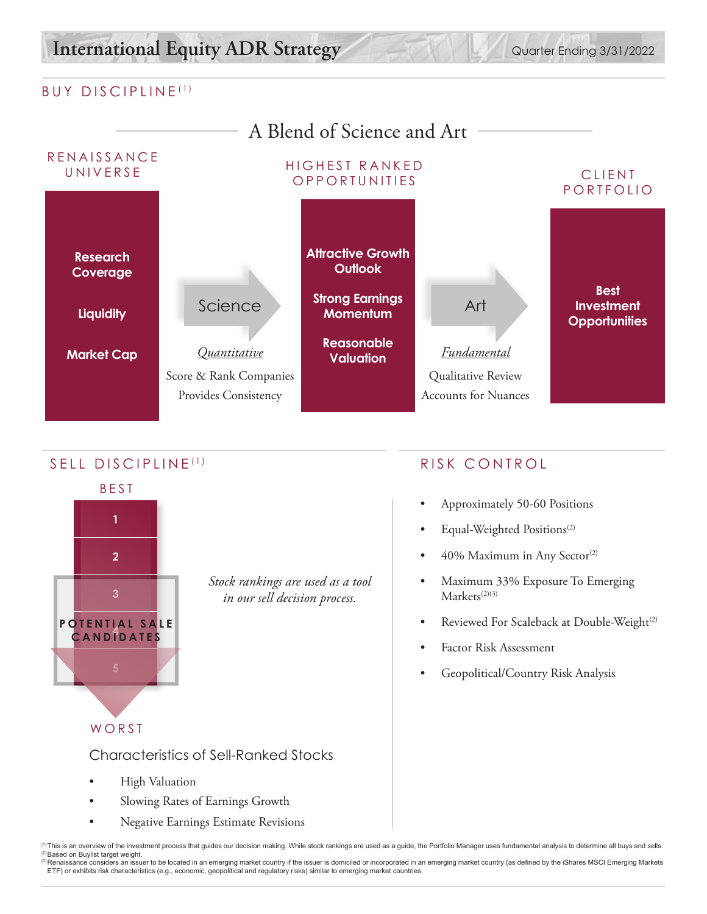# **International Equity ADR Strategy** Quarter Ending 3/31/2022

## BUY DISCIPLINE (1)



## SELL DISCIPLINE<sup>(1)</sup> RISK CONTROL



*Stock rankings are used as a tool in our sell decision process.*

- Approximately 50-60 Positions
- Equal-Weighted Positions<sup>(2)</sup>
- 40% Maximum in Any Sector<sup>(2)</sup>
- Maximum 33% Exposure To Emerging  $Markets^{(2)(3)}$
- Reviewed For Scaleback at Double-Weight<sup>(2)</sup>
- Factor Risk Assessment
- Geopolitical/Country Risk Analysis

WORST

Characteristics of Sell-Ranked Stocks

- High Valuation
- Slowing Rates of Earnings Growth
- Negative Earnings Estimate Revisions

(1) This is an overview of the investment process that guides our decision making. While stock rankings are used as a guide, the Portfolio Manager uses fundamental analysis to determine all buys and sells. © Based on Buylist target weight.<br>◎ Renaissance considers an issuer to be located in an emerging market country if the issuer is domiciled or incorporated in an emerging market country (as defined by the iShares MSCI Emer

ETF) or exhibits risk characteristics (e.g., economic, geopolitical and regulatory risks) similar to emerging market countries.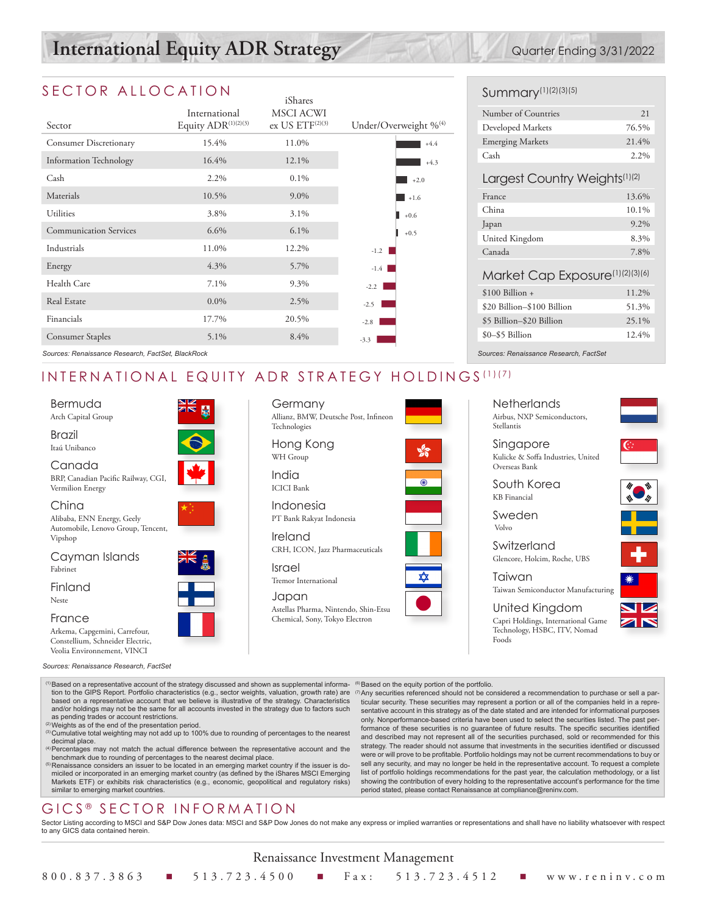# **International Equity ADR Strategy** Quarter Ending 3/31/2022

## SECTOR ALLOCATION

| Sector                        | International<br>Equity ADR(1)(2)(3) | iShares<br><b>MSCI ACWI</b><br>ex US $ETF(2)(3)$ | Under/Overweight % <sup>(4)</sup> |
|-------------------------------|--------------------------------------|--------------------------------------------------|-----------------------------------|
| Consumer Discretionary        | 15.4%                                | 11.0%                                            | $+4.4$                            |
| Information Technology        | 16.4%                                | 12.1%                                            | $+4.3$                            |
| Cash                          | 2.2%                                 | $0.1\%$                                          | $+2.0$                            |
| Materials                     | 10.5%                                | $9.0\%$                                          | $+1.6$                            |
| Utilities                     | 3.8%                                 | $3.1\%$                                          | $+0.6$                            |
| <b>Communication Services</b> | 6.6%                                 | $6.1\%$                                          | $+0.5$                            |
| Industrials                   | 11.0%                                | 12.2%                                            | $-1.2$                            |
| Energy                        | 4.3%                                 | 5.7%                                             | $-1.4$                            |
| Health Care                   | 7.1%                                 | 9.3%                                             | $-2.2$                            |
| Real Estate                   | $0.0\%$                              | 2.5%                                             | $-2.5$                            |
| Financials                    | 17.7%                                | 20.5%                                            | $-2.8$                            |
| Consumer Staples              | 5.1%                                 | 8.4%                                             | $-3.3$                            |

## Summary(1)(2)(3)(5)

| Number of Countries | 2.1   |
|---------------------|-------|
| Developed Markets   | 76.5% |
| Emerging Markets    | 21.4% |
| Cash                | 2.2%  |

### Largest Country Weights<sup>(1)(2)</sup>

| France         | 13.6%   |
|----------------|---------|
| China          | 10.1%   |
| Japan          | $9.2\%$ |
| United Kingdom | 8.3%    |
| Canada         | 7.8%    |
|                |         |

### Market Cap Exposure(1)(2)(3)(6)

| 11.2% |
|-------|
| 51.3% |
| 25.1% |
| 12.4% |
|       |

*Sources: Renaissance Research, FactSet, BlackRock*

# INTERNATIONAL EQUITY ADR STRATEGY HOLDINGS (1)(7)

| Bermuda            |  |
|--------------------|--|
| Arch Capital Group |  |

Brazil Itaú Unibanco

Canada

BRP, Canadian Pacific Railway, CGI, Vermilion Energy

China

Alibaba, ENN Energy, Geely Automobile, Lenovo Group, Tencent, Vipshop

Cayman Islands Fabrinet

Finland

Neste

France

Arkema, Capgemini, Carrefour, Constellium, Schneider Electric, Veolia Environnement, VINCI

*Sources: Renaissance Research, FactSet*

Dased on a representative account of the strategy discussed and shown as supplemental information to the GIPS<br>tion to the GIPS Report. Portfolio characteristics (e.g., sector weights, valuation, growth rate) are<br>based on a and/or holdings may not be the same for all accounts invested in the strategy due to factors such as pending trades or account restrictions.

- (2)Weights as of the end of the presentation period.
- <sup>(3)</sup> Cumulative total weighting may not add up to 100% due to rounding of percentages to the nearest decimal place.
- (4)Percentages may not match the actual difference between the representative account and the benchmark due to rounding of percentages to the nearest decimal place.<br><sup>(5)</sup>Renaissance considers an issuer to be located in an emerging market country if the issuer is do-
- miciled or incorporated in an emerging market country (as defined by the iShares MSCI Emerging Markets ETF) or exhibits risk characteristics (e.g., economic, geopolitical and regulatory risks) similar to emerging market countries.

# GICS<sup>®</sup> SECTOR INFORMATION

and described may not represent all of the securities purchased, sold or recommended for this strategy. The reader should not assume that investments in the securities identified or discussed were or will prove to be profitable. Portfolio holdings may not be current recommendations to buy or sell any security, and may no longer be held in the representative account. To request a complete list of portfolio holdings recommendations for the past year, the calculation methodology, or a list showing the contribution of every holding to the representative account's performance for the time period stated, please contact Renaissance at compliance@reninv.com.

Sector Listing according to MSCI and S&P Dow Jones data: MSCI and S&P Dow Jones do not make any express or implied warranties or representations and shall have no liability whatsoever with respect to any GICS data contained herein.

| NK<br>AR         |
|------------------|
|                  |
|                  |
| ×<br>٠<br>٠<br>× |





**Netherlands** Airbus, NXP Semiconductors, Stellantis

*Sources: Renaissance Research, FactSet*

Singapore Kulicke & Soffa Industries, United Overseas Bank

South Korea KB Financial

Sweden Volvo

Foods

ticular security. These securities may represent a portion or all of the companies held in a repre-sentative account in this strategy as of the date stated and are intended for informational purposes only. Nonperformance-based criteria have been used to select the securities listed. The past performance of these securities is no guarantee of future results. The specific securities identified

Switzerland Glencore, Holcim, Roche, UBS

Taiwan Taiwan Semiconductor Manufacturing

United Kingdom Capri Holdings, International Game Technology, HSBC, ITV, Nomad



Chemical, Sony, Tokyo Electron

<sup>(6)</sup>Based on the equity portion of the portfolio.<br><sup>(7)</sup>Any securities referenced should not be considered a recommendation to purchase or sell a par-

Renaissance Investment Management



Japan